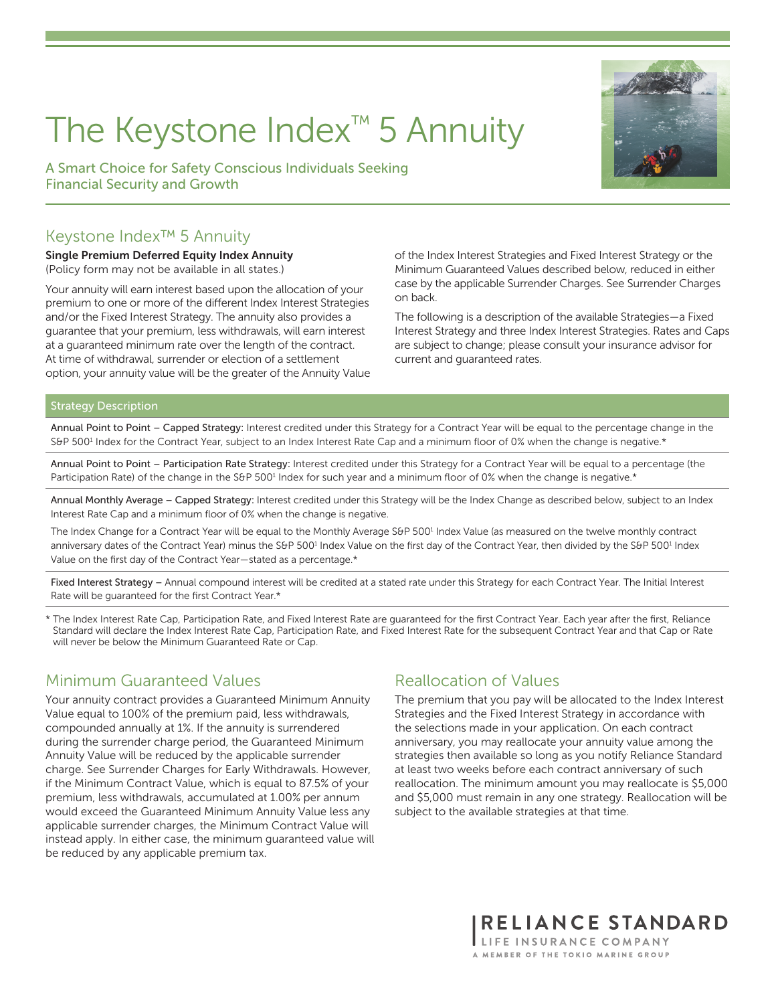# The Keystone Index™ 5 Annuity

A Smart Choice for Safety Conscious Individuals Seeking Financial Security and Growth



Single Premium Deferred Equity Index Annuity (Policy form may not be available in all states.)

Your annuity will earn interest based upon the allocation of your premium to one or more of the different Index Interest Strategies and/or the Fixed Interest Strategy. The annuity also provides a guarantee that your premium, less withdrawals, will earn interest at a guaranteed minimum rate over the length of the contract. At time of withdrawal, surrender or election of a settlement option, your annuity value will be the greater of the Annuity Value of the Index Interest Strategies and Fixed Interest Strategy or the Minimum Guaranteed Values described below, reduced in either case by the applicable Surrender Charges. See Surrender Charges on back.

The following is a description of the available Strategies—a Fixed Interest Strategy and three Index Interest Strategies. Rates and Caps are subject to change; please consult your insurance advisor for current and guaranteed rates.

#### Strategy Description

Annual Point to Point – Capped Strategy: Interest credited under this Strategy for a Contract Year will be equal to the percentage change in the S&P 500<sup>1</sup> Index for the Contract Year, subject to an Index Interest Rate Cap and a minimum floor of 0% when the change is negative.\*

Annual Point to Point – Participation Rate Strategy: Interest credited under this Strategy for a Contract Year will be equal to a percentage (the Participation Rate) of the change in the S&P 500<sup>1</sup> Index for such year and a minimum floor of 0% when the change is negative.\*

Annual Monthly Average – Capped Strategy: Interest credited under this Strategy will be the Index Change as described below, subject to an Index Interest Rate Cap and a minimum floor of 0% when the change is negative.

The Index Change for a Contract Year will be equal to the Monthly Average S&P 500<sup>1</sup> Index Value (as measured on the twelve monthly contract anniversary dates of the Contract Year) minus the S&P 500<sup>1</sup> Index Value on the first day of the Contract Year, then divided by the S&P 500<sup>1</sup> Index Value on the first day of the Contract Year—stated as a percentage.\*

Fixed Interest Strategy – Annual compound interest will be credited at a stated rate under this Strategy for each Contract Year. The Initial Interest Rate will be guaranteed for the first Contract Year.\*

\* The Index Interest Rate Cap, Participation Rate, and Fixed Interest Rate are guaranteed for the first Contract Year. Each year after the first, Reliance Standard will declare the Index Interest Rate Cap, Participation Rate, and Fixed Interest Rate for the subsequent Contract Year and that Cap or Rate will never be below the Minimum Guaranteed Rate or Cap.

#### Minimum Guaranteed Values

Your annuity contract provides a Guaranteed Minimum Annuity Value equal to 100% of the premium paid, less withdrawals, compounded annually at 1%. If the annuity is surrendered during the surrender charge period, the Guaranteed Minimum Annuity Value will be reduced by the applicable surrender charge. See Surrender Charges for Early Withdrawals. However, if the Minimum Contract Value, which is equal to 87.5% of your premium, less withdrawals, accumulated at 1.00% per annum would exceed the Guaranteed Minimum Annuity Value less any applicable surrender charges, the Minimum Contract Value will instead apply. In either case, the minimum guaranteed value will be reduced by any applicable premium tax.

#### Reallocation of Values

The premium that you pay will be allocated to the Index Interest Strategies and the Fixed Interest Strategy in accordance with the selections made in your application. On each contract anniversary, you may reallocate your annuity value among the strategies then available so long as you notify Reliance Standard at least two weeks before each contract anniversary of such reallocation. The minimum amount you may reallocate is \$5,000 and \$5,000 must remain in any one strategy. Reallocation will be subject to the available strategies at that time.



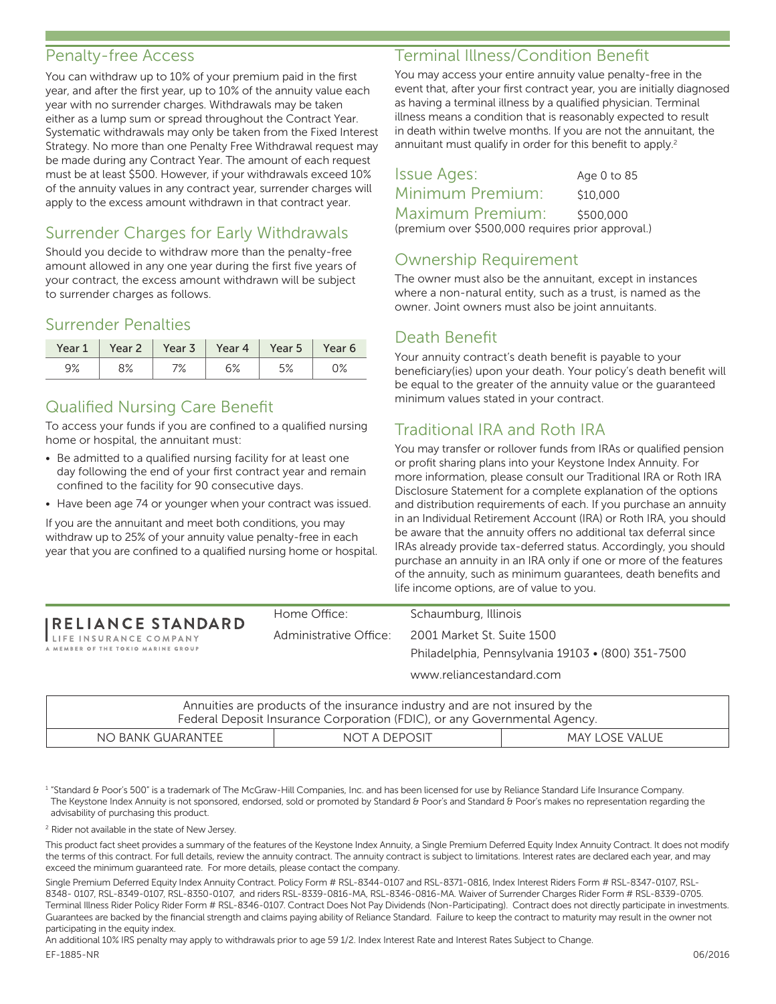#### Penalty-free Access

You can withdraw up to 10% of your premium paid in the first year, and after the first year, up to 10% of the annuity value each year with no surrender charges. Withdrawals may be taken either as a lump sum or spread throughout the Contract Year. Systematic withdrawals may only be taken from the Fixed Interest Strategy. No more than one Penalty Free Withdrawal request may be made during any Contract Year. The amount of each request must be at least \$500. However, if your withdrawals exceed 10% of the annuity values in any contract year, surrender charges will apply to the excess amount withdrawn in that contract year.

# Surrender Charges for Early Withdrawals

Should you decide to withdraw more than the penalty-free amount allowed in any one year during the first five years of your contract, the excess amount withdrawn will be subject to surrender charges as follows.

## Surrender Penalties

| Year 1 | Year 2       | Year 3      | Year 4 | Year 5      | Year 6 |
|--------|--------------|-------------|--------|-------------|--------|
| 9%     | ره ۵<br>O /o | 70/<br>/ /o | 6%     | 도 이<br>ە⁄ ر | ∪ ∕o   |

# Qualified Nursing Care Benefit

To access your funds if you are confined to a qualified nursing home or hospital, the annuitant must:

- Be admitted to a qualified nursing facility for at least one day following the end of your first contract year and remain confined to the facility for 90 consecutive days.
- Have been age 74 or younger when your contract was issued.

If you are the annuitant and meet both conditions, you may withdraw up to 25% of your annuity value penalty-free in each year that you are confined to a qualified nursing home or hospital.

#### Terminal Illness/Condition Benefit

You may access your entire annuity value penalty-free in the event that, after your first contract year, you are initially diagnosed as having a terminal illness by a qualified physician. Terminal illness means a condition that is reasonably expected to result in death within twelve months. If you are not the annuitant, the annuitant must qualify in order for this benefit to apply.<sup>2</sup>

Issue Ages: Age 0 to 85 Minimum Premium: \$10,000 Maximum Premium: \$500,000 (premium over \$500,000 requires prior approval.)

# Ownership Requirement

The owner must also be the annuitant, except in instances where a non-natural entity, such as a trust, is named as the owner. Joint owners must also be joint annuitants.

#### Death Benefit

Your annuity contract's death benefit is payable to your beneficiary(ies) upon your death. Your policy's death benefit will be equal to the greater of the annuity value or the guaranteed minimum values stated in your contract.

# Traditional IRA and Roth IRA

You may transfer or rollover funds from IRAs or qualified pension or profit sharing plans into your Keystone Index Annuity. For more information, please consult our Traditional IRA or Roth IRA Disclosure Statement for a complete explanation of the options and distribution requirements of each. If you purchase an annuity in an Individual Retirement Account (IRA) or Roth IRA, you should be aware that the annuity offers no additional tax deferral since IRAs already provide tax-deferred status. Accordingly, you should purchase an annuity in an IRA only if one or more of the features of the annuity, such as minimum guarantees, death benefits and life income options, are of value to you.

|                                                                                           | Home Office:           | Schaumburg, Illinois                                                                                        |
|-------------------------------------------------------------------------------------------|------------------------|-------------------------------------------------------------------------------------------------------------|
| <b>IRELIANCE STANDARD</b><br>LIFE INSURANCE COMPANY<br>A MEMBER OF THE TOKIO MARINE GROUP | Administrative Office: | 2001 Market St. Suite 1500<br>Philadelphia, Pennsylvania 19103 • (800) 351-7500<br>www.reliancestandard.com |
|                                                                                           |                        |                                                                                                             |

| Annuities are products of the insurance industry and are not insured by the |  |  |  |  |
|-----------------------------------------------------------------------------|--|--|--|--|
| Federal Deposit Insurance Corporation (FDIC), or any Governmental Agency.   |  |  |  |  |
| MAY LOSE VALUE<br>NO BANK GUARANTEE<br>NOT A DEPOSIT                        |  |  |  |  |

<sup>1</sup> "Standard & Poor's 500" is a trademark of The McGraw-Hill Companies, Inc. and has been licensed for use by Reliance Standard Life Insurance Company. The Keystone Index Annuity is not sponsored, endorsed, sold or promoted by Standard & Poor's and Standard & Poor's makes no representation regarding the advisability of purchasing this product.

<sup>2</sup> Rider not available in the state of New Jersey.

This product fact sheet provides a summary of the features of the Keystone Index Annuity, a Single Premium Deferred Equity Index Annuity Contract. It does not modify the terms of this contract. For full details, review the annuity contract. The annuity contract is subject to limitations. Interest rates are declared each year, and may exceed the minimum guaranteed rate. For more details, please contact the company.

Single Premium Deferred Equity Index Annuity Contract. Policy Form # RSL-8344-0107 and RSL-8371-0816, Index Interest Riders Form # RSL-8347-0107, RSL-8348- 0107, RSL-8349-0107, RSL-8350-0107, and riders RSL-8339-0816-MA, RSL-8346-0816-MA. Waiver of Surrender Charges Rider Form # RSL-8339-0705. Terminal Illness Rider Policy Rider Form # RSL-8346-0107. Contract Does Not Pay Dividends (Non-Participating). Contract does not directly participate in investments. Guarantees are backed by the financial strength and claims paying ability of Reliance Standard. Failure to keep the contract to maturity may result in the owner not participating in the equity index.

An additional 10% IRS penalty may apply to withdrawals prior to age 59 1/2. Index Interest Rate and Interest Rates Subject to Change.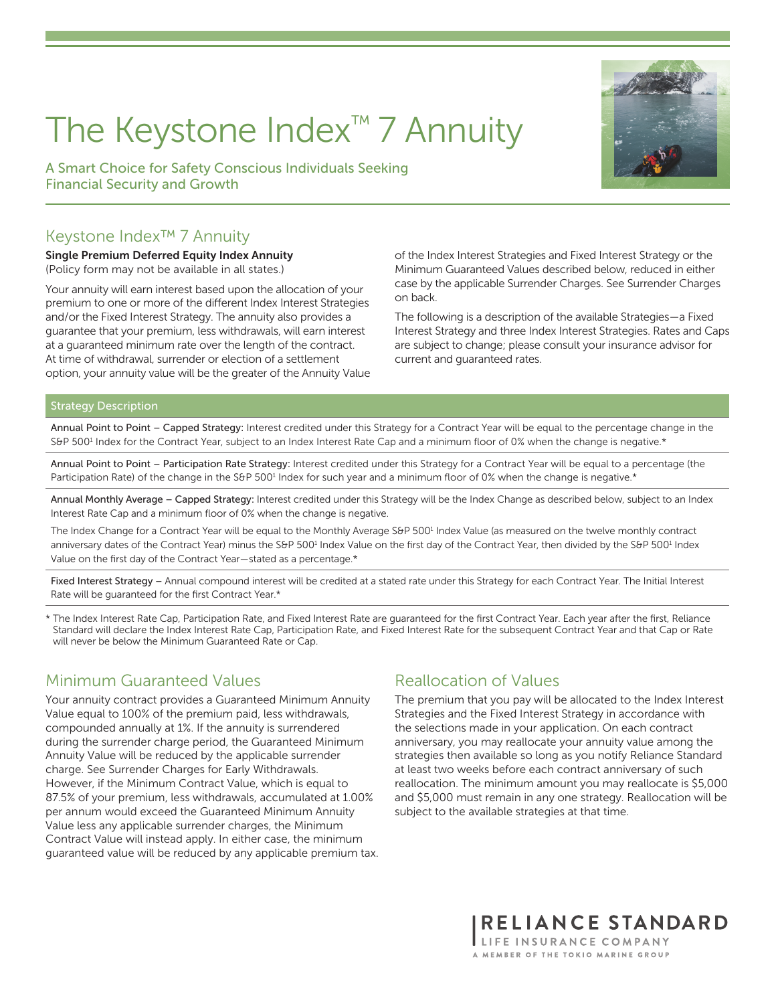# The Keystone Index™ 7 Annuity

A Smart Choice for Safety Conscious Individuals Seeking Financial Security and Growth



Single Premium Deferred Equity Index Annuity (Policy form may not be available in all states.)

Your annuity will earn interest based upon the allocation of your premium to one or more of the different Index Interest Strategies and/or the Fixed Interest Strategy. The annuity also provides a guarantee that your premium, less withdrawals, will earn interest at a guaranteed minimum rate over the length of the contract. At time of withdrawal, surrender or election of a settlement option, your annuity value will be the greater of the Annuity Value of the Index Interest Strategies and Fixed Interest Strategy or the Minimum Guaranteed Values described below, reduced in either case by the applicable Surrender Charges. See Surrender Charges on back.

The following is a description of the available Strategies—a Fixed Interest Strategy and three Index Interest Strategies. Rates and Caps are subject to change; please consult your insurance advisor for current and guaranteed rates.

#### Strategy Description

Annual Point to Point – Capped Strategy: Interest credited under this Strategy for a Contract Year will be equal to the percentage change in the S&P 500<sup>1</sup> Index for the Contract Year, subject to an Index Interest Rate Cap and a minimum floor of 0% when the change is negative.\*

Annual Point to Point – Participation Rate Strategy: Interest credited under this Strategy for a Contract Year will be equal to a percentage (the Participation Rate) of the change in the S&P 500<sup>1</sup> Index for such year and a minimum floor of 0% when the change is negative.\*

Annual Monthly Average – Capped Strategy: Interest credited under this Strategy will be the Index Change as described below, subject to an Index Interest Rate Cap and a minimum floor of 0% when the change is negative.

The Index Change for a Contract Year will be equal to the Monthly Average S&P 500<sup>1</sup> Index Value (as measured on the twelve monthly contract anniversary dates of the Contract Year) minus the S&P 500<sup>1</sup> Index Value on the first day of the Contract Year, then divided by the S&P 500<sup>1</sup> Index Value on the first day of the Contract Year—stated as a percentage.\*

Fixed Interest Strategy – Annual compound interest will be credited at a stated rate under this Strategy for each Contract Year. The Initial Interest Rate will be guaranteed for the first Contract Year.\*

\* The Index Interest Rate Cap, Participation Rate, and Fixed Interest Rate are guaranteed for the first Contract Year. Each year after the first, Reliance Standard will declare the Index Interest Rate Cap, Participation Rate, and Fixed Interest Rate for the subsequent Contract Year and that Cap or Rate will never be below the Minimum Guaranteed Rate or Cap.

#### Minimum Guaranteed Values

Your annuity contract provides a Guaranteed Minimum Annuity Value equal to 100% of the premium paid, less withdrawals, compounded annually at 1%. If the annuity is surrendered during the surrender charge period, the Guaranteed Minimum Annuity Value will be reduced by the applicable surrender charge. See Surrender Charges for Early Withdrawals. However, if the Minimum Contract Value, which is equal to 87.5% of your premium, less withdrawals, accumulated at 1.00% per annum would exceed the Guaranteed Minimum Annuity Value less any applicable surrender charges, the Minimum Contract Value will instead apply. In either case, the minimum guaranteed value will be reduced by any applicable premium tax.

#### Reallocation of Values

The premium that you pay will be allocated to the Index Interest Strategies and the Fixed Interest Strategy in accordance with the selections made in your application. On each contract anniversary, you may reallocate your annuity value among the strategies then available so long as you notify Reliance Standard at least two weeks before each contract anniversary of such reallocation. The minimum amount you may reallocate is \$5,000 and \$5,000 must remain in any one strategy. Reallocation will be subject to the available strategies at that time.

> RELIANCE STANDARD LIFE INSURANCE COMPANY A MEMBER OF THE TOKIO MARINE GROUP

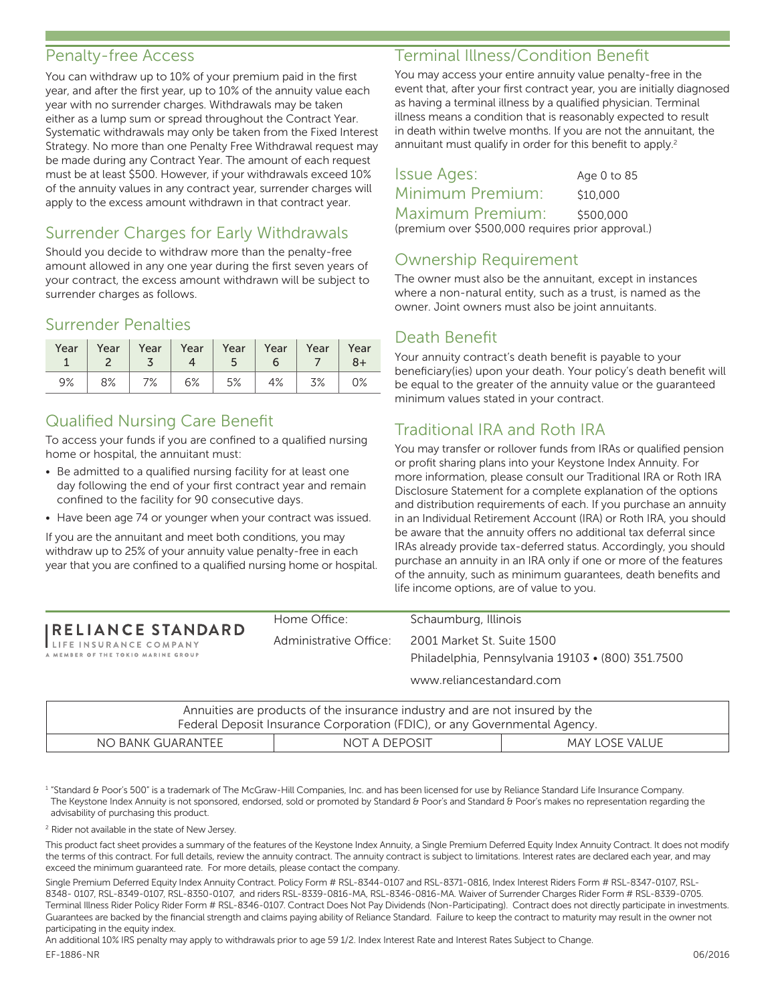#### Penalty-free Access

You can withdraw up to 10% of your premium paid in the first year, and after the first year, up to 10% of the annuity value each year with no surrender charges. Withdrawals may be taken either as a lump sum or spread throughout the Contract Year. Systematic withdrawals may only be taken from the Fixed Interest Strategy. No more than one Penalty Free Withdrawal request may be made during any Contract Year. The amount of each request must be at least \$500. However, if your withdrawals exceed 10% of the annuity values in any contract year, surrender charges will apply to the excess amount withdrawn in that contract year.

# Surrender Charges for Early Withdrawals

Should you decide to withdraw more than the penalty-free amount allowed in any one year during the first seven years of your contract, the excess amount withdrawn will be subject to surrender charges as follows.

# Surrender Penalties

| Year | Year | 3 <sup>7</sup> | $\begin{array}{cc} \textbf{1} & \textbf{4} \end{array}$ | $Year \mid Year \mid Year \mid Year \mid$<br>$-5$ | 6  | Year $ $ | Year<br>8+ |
|------|------|----------------|---------------------------------------------------------|---------------------------------------------------|----|----------|------------|
| 9%   | 8%   | $17\%$         | $\begin{array}{cc} \boxed{6\%} \end{array}$             | $\vert$ 5%                                        | 4% | 3%       | 0%         |

## Qualified Nursing Care Benefit

To access your funds if you are confined to a qualified nursing home or hospital, the annuitant must:

- Be admitted to a qualified nursing facility for at least one day following the end of your first contract year and remain confined to the facility for 90 consecutive days.
- Have been age 74 or younger when your contract was issued.

If you are the annuitant and meet both conditions, you may withdraw up to 25% of your annuity value penalty-free in each year that you are confined to a qualified nursing home or hospital.

#### RELIANCE STANDARD

LIFE INSURANCE COMPANY MEMBER OF THE TOKIO MARINE GROUP

#### Terminal Illness/Condition Benefit

You may access your entire annuity value penalty-free in the event that, after your first contract year, you are initially diagnosed as having a terminal illness by a qualified physician. Terminal illness means a condition that is reasonably expected to result in death within twelve months. If you are not the annuitant, the annuitant must qualify in order for this benefit to apply.<sup>2</sup>

Issue Ages: Age 0 to 85 Minimum Premium: \$10,000 Maximum Premium: \$500,000 (premium over \$500,000 requires prior approval.)

## Ownership Requirement

The owner must also be the annuitant, except in instances where a non-natural entity, such as a trust, is named as the owner. Joint owners must also be joint annuitants.

#### Death Benefit

Your annuity contract's death benefit is payable to your beneficiary(ies) upon your death. Your policy's death benefit will be equal to the greater of the annuity value or the guaranteed minimum values stated in your contract.

## Traditional IRA and Roth IRA

You may transfer or rollover funds from IRAs or qualified pension or profit sharing plans into your Keystone Index Annuity. For more information, please consult our Traditional IRA or Roth IRA Disclosure Statement for a complete explanation of the options and distribution requirements of each. If you purchase an annuity in an Individual Retirement Account (IRA) or Roth IRA, you should be aware that the annuity offers no additional tax deferral since IRAs already provide tax-deferred status. Accordingly, you should purchase an annuity in an IRA only if one or more of the features of the annuity, such as minimum guarantees, death benefits and life income options, are of value to you.

Home Office: Schaumburg, Illinois Administrative Office: 2001 Market St. Suite 1500 Philadelphia, Pennsylvania 19103 • (800) 351.7500 www.reliancestandard.com

|                   | Annuities are products of the insurance industry and are not insured by the<br>Federal Deposit Insurance Corporation (FDIC), or any Governmental Agency. |                |
|-------------------|----------------------------------------------------------------------------------------------------------------------------------------------------------|----------------|
| NO BANK GUARANTEE | NOT A DEPOSIT                                                                                                                                            | MAY LOSE VALUE |

<sup>1</sup> "Standard & Poor's 500" is a trademark of The McGraw-Hill Companies, Inc. and has been licensed for use by Reliance Standard Life Insurance Company. The Keystone Index Annuity is not sponsored, endorsed, sold or promoted by Standard & Poor's and Standard & Poor's makes no representation regarding the advisability of purchasing this product.

<sup>2</sup> Rider not available in the state of New Jersey.

This product fact sheet provides a summary of the features of the Keystone Index Annuity, a Single Premium Deferred Equity Index Annuity Contract. It does not modify the terms of this contract. For full details, review the annuity contract. The annuity contract is subject to limitations. Interest rates are declared each year, and may exceed the minimum guaranteed rate. For more details, please contact the company.

Single Premium Deferred Equity Index Annuity Contract. Policy Form # RSL-8344-0107 and RSL-8371-0816, Index Interest Riders Form # RSL-8347-0107, RSL-8348- 0107, RSL-8349-0107, RSL-8350-0107, and riders RSL-8339-0816-MA, RSL-8346-0816-MA. Waiver of Surrender Charges Rider Form # RSL-8339-0705. Terminal Illness Rider Policy Rider Form # RSL-8346-0107. Contract Does Not Pay Dividends (Non-Participating). Contract does not directly participate in investments. Guarantees are backed by the financial strength and claims paying ability of Reliance Standard. Failure to keep the contract to maturity may result in the owner not participating in the equity index.

An additional 10% IRS penalty may apply to withdrawals prior to age 59 1/2. Index Interest Rate and Interest Rates Subject to Change.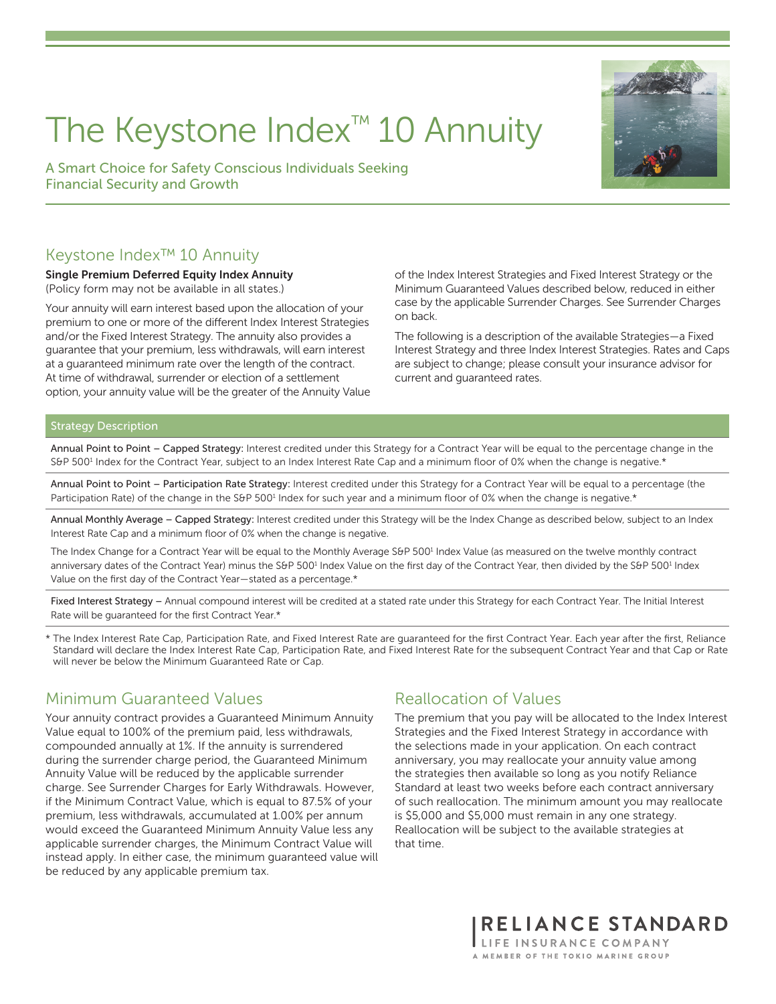# The Keystone Index™ 10 Annuity

A Smart Choice for Safety Conscious Individuals Seeking Financial Security and Growth

## Keystone Index™ 10 Annuity

#### Single Premium Deferred Equity Index Annuity (Policy form may not be available in all states.)

Your annuity will earn interest based upon the allocation of your premium to one or more of the different Index Interest Strategies and/or the Fixed Interest Strategy. The annuity also provides a guarantee that your premium, less withdrawals, will earn interest at a guaranteed minimum rate over the length of the contract. At time of withdrawal, surrender or election of a settlement option, your annuity value will be the greater of the Annuity Value of the Index Interest Strategies and Fixed Interest Strategy or the Minimum Guaranteed Values described below, reduced in either case by the applicable Surrender Charges. See Surrender Charges on back.

The following is a description of the available Strategies—a Fixed Interest Strategy and three Index Interest Strategies. Rates and Caps are subject to change; please consult your insurance advisor for current and guaranteed rates.

#### Strategy Description

Annual Point to Point – Capped Strategy: Interest credited under this Strategy for a Contract Year will be equal to the percentage change in the S&P 500<sup>1</sup> Index for the Contract Year, subject to an Index Interest Rate Cap and a minimum floor of 0% when the change is negative.\*

Annual Point to Point – Participation Rate Strategy: Interest credited under this Strategy for a Contract Year will be equal to a percentage (the Participation Rate) of the change in the S&P 500<sup>1</sup> Index for such year and a minimum floor of 0% when the change is negative.\*

Annual Monthly Average – Capped Strategy: Interest credited under this Strategy will be the Index Change as described below, subject to an Index Interest Rate Cap and a minimum floor of 0% when the change is negative.

The Index Change for a Contract Year will be equal to the Monthly Average S&P 500<sup>1</sup> Index Value (as measured on the twelve monthly contract anniversary dates of the Contract Year) minus the S&P 500<sup>1</sup> Index Value on the first day of the Contract Year, then divided by the S&P 500<sup>1</sup> Index Value on the first day of the Contract Year—stated as a percentage.\*

Fixed Interest Strategy – Annual compound interest will be credited at a stated rate under this Strategy for each Contract Year. The Initial Interest Rate will be guaranteed for the first Contract Year.\*

\* The Index Interest Rate Cap, Participation Rate, and Fixed Interest Rate are guaranteed for the first Contract Year. Each year after the first, Reliance Standard will declare the Index Interest Rate Cap, Participation Rate, and Fixed Interest Rate for the subsequent Contract Year and that Cap or Rate will never be below the Minimum Guaranteed Rate or Cap.

#### Minimum Guaranteed Values

Your annuity contract provides a Guaranteed Minimum Annuity Value equal to 100% of the premium paid, less withdrawals, compounded annually at 1%. If the annuity is surrendered during the surrender charge period, the Guaranteed Minimum Annuity Value will be reduced by the applicable surrender charge. See Surrender Charges for Early Withdrawals. However, if the Minimum Contract Value, which is equal to 87.5% of your premium, less withdrawals, accumulated at 1.00% per annum would exceed the Guaranteed Minimum Annuity Value less any applicable surrender charges, the Minimum Contract Value will instead apply. In either case, the minimum guaranteed value will be reduced by any applicable premium tax.

#### Reallocation of Values

The premium that you pay will be allocated to the Index Interest Strategies and the Fixed Interest Strategy in accordance with the selections made in your application. On each contract anniversary, you may reallocate your annuity value among the strategies then available so long as you notify Reliance Standard at least two weeks before each contract anniversary of such reallocation. The minimum amount you may reallocate is \$5,000 and \$5,000 must remain in any one strategy. Reallocation will be subject to the available strategies at that time.



**RELIANCE STANDARD** LIFE INSURANCE COMPANY A MEMRER OF THE TOKIO MARINE GROUP